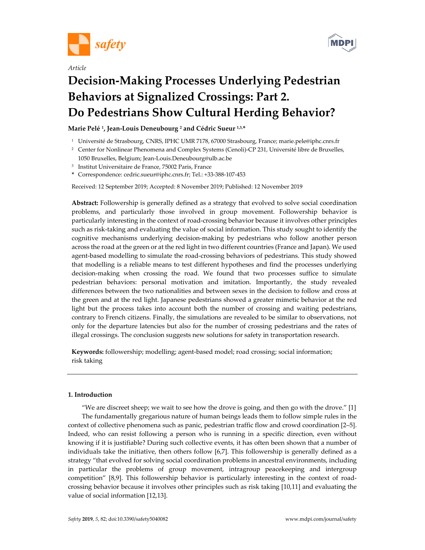

*Article* 



# **Decision-Making Processes Underlying Pedestrian Behaviors at Signalized Crossings: Part 2. Do Pedestrians Show Cultural Herding Behavior?**

**Marie Pelé 1, Jean-Louis Deneubourg 2 and Cédric Sueur 1,3,\*** 

- <sup>1</sup> Université de Strasbourg, CNRS, IPHC UMR 7178, 67000 Strasbourg, France; marie.pele@iphc.cnrs.fr
- <sup>2</sup> Center for Nonlinear Phenomena and Complex Systems (Cenoli)-CP 231, Université libre de Bruxelles, 1050 Bruxelles, Belgium; Jean-Louis.Deneubourg@ulb.ac.be
- 3 Institut Universitaire de France, 75002 Paris, France
- **\*** Correspondence: cedric.sueur@iphc.cnrs.fr; Tel.: +33-388-107-453

Received: 12 September 2019; Accepted: 8 November 2019; Published: 12 November 2019

**Abstract:** Followership is generally defined as a strategy that evolved to solve social coordination problems, and particularly those involved in group movement. Followership behavior is particularly interesting in the context of road-crossing behavior because it involves other principles such as risk-taking and evaluating the value of social information. This study sought to identify the cognitive mechanisms underlying decision-making by pedestrians who follow another person across the road at the green or at the red light in two different countries (France and Japan). We used agent-based modelling to simulate the road-crossing behaviors of pedestrians. This study showed that modelling is a reliable means to test different hypotheses and find the processes underlying decision-making when crossing the road. We found that two processes suffice to simulate pedestrian behaviors: personal motivation and imitation. Importantly, the study revealed differences between the two nationalities and between sexes in the decision to follow and cross at the green and at the red light. Japanese pedestrians showed a greater mimetic behavior at the red light but the process takes into account both the number of crossing and waiting pedestrians, contrary to French citizens. Finally, the simulations are revealed to be similar to observations, not only for the departure latencies but also for the number of crossing pedestrians and the rates of illegal crossings. The conclusion suggests new solutions for safety in transportation research.

**Keywords:** followership; modelling; agent-based model; road crossing; social information; risk taking

# **1. Introduction**

"We are discreet sheep; we wait to see how the drove is going, and then go with the drove." [1] The fundamentally gregarious nature of human beings leads them to follow simple rules in the context of collective phenomena such as panic, pedestrian traffic flow and crowd coordination [2–5]. Indeed, who can resist following a person who is running in a specific direction, even without knowing if it is justifiable? During such collective events, it has often been shown that a number of individuals take the initiative, then others follow [6,7]. This followership is generally defined as a strategy "that evolved for solving social coordination problems in ancestral environments, including in particular the problems of group movement, intragroup peacekeeping and intergroup competition" [8,9]. This followership behavior is particularly interesting in the context of roadcrossing behavior because it involves other principles such as risk taking [10,11] and evaluating the value of social information [12,13].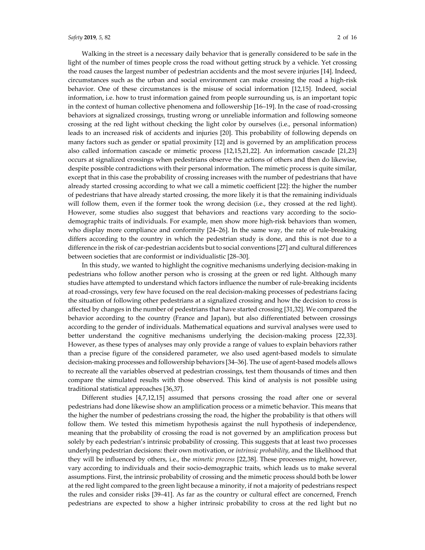Walking in the street is a necessary daily behavior that is generally considered to be safe in the light of the number of times people cross the road without getting struck by a vehicle. Yet crossing the road causes the largest number of pedestrian accidents and the most severe injuries [14]. Indeed, circumstances such as the urban and social environment can make crossing the road a high-risk behavior. One of these circumstances is the misuse of social information [12,15]. Indeed, social information, i.e. how to trust information gained from people surrounding us, is an important topic in the context of human collective phenomena and followership [16–19]. In the case of road-crossing behaviors at signalized crossings, trusting wrong or unreliable information and following someone crossing at the red light without checking the light color by ourselves (i.e., personal information) leads to an increased risk of accidents and injuries [20]. This probability of following depends on many factors such as gender or spatial proximity [12] and is governed by an amplification process also called information cascade or mimetic process [12,15,21,22]. An information cascade [21,23] occurs at signalized crossings when pedestrians observe the actions of others and then do likewise, despite possible contradictions with their personal information. The mimetic process is quite similar, except that in this case the probability of crossing increases with the number of pedestrians that have already started crossing according to what we call a mimetic coefficient [22]: the higher the number of pedestrians that have already started crossing, the more likely it is that the remaining individuals will follow them, even if the former took the wrong decision (i.e., they crossed at the red light). However, some studies also suggest that behaviors and reactions vary according to the sociodemographic traits of individuals. For example, men show more high-risk behaviors than women, who display more compliance and conformity [24–26]. In the same way, the rate of rule-breaking differs according to the country in which the pedestrian study is done, and this is not due to a difference in the risk of car-pedestrian accidents but to social conventions [27] and cultural differences between societies that are conformist or individualistic [28–30].

In this study, we wanted to highlight the cognitive mechanisms underlying decision-making in pedestrians who follow another person who is crossing at the green or red light. Although many studies have attempted to understand which factors influence the number of rule-breaking incidents at road-crossings, very few have focused on the real decision-making processes of pedestrians facing the situation of following other pedestrians at a signalized crossing and how the decision to cross is affected by changes in the number of pedestrians that have started crossing [31,32]. We compared the behavior according to the country (France and Japan), but also differentiated between crossings according to the gender of individuals. Mathematical equations and survival analyses were used to better understand the cognitive mechanisms underlying the decision-making process [22,33]. However, as these types of analyses may only provide a range of values to explain behaviors rather than a precise figure of the considered parameter, we also used agent-based models to simulate decision-making processes and followership behaviors [34–36]. The use of agent-based models allows to recreate all the variables observed at pedestrian crossings, test them thousands of times and then compare the simulated results with those observed. This kind of analysis is not possible using traditional statistical approaches [36,37].

Different studies [4,7,12,15] assumed that persons crossing the road after one or several pedestrians had done likewise show an amplification process or a mimetic behavior. This means that the higher the number of pedestrians crossing the road, the higher the probability is that others will follow them. We tested this mimetism hypothesis against the null hypothesis of independence, meaning that the probability of crossing the road is not governed by an amplification process but solely by each pedestrian's intrinsic probability of crossing. This suggests that at least two processes underlying pedestrian decisions: their own motivation, or *intrinsic probability*, and the likelihood that they will be influenced by others, i.e., the *mimetic process* [22,38]. These processes might, however, vary according to individuals and their socio-demographic traits, which leads us to make several assumptions. First, the intrinsic probability of crossing and the mimetic process should both be lower at the red light compared to the green light because a minority, if not a majority of pedestrians respect the rules and consider risks [39–41]. As far as the country or cultural effect are concerned, French pedestrians are expected to show a higher intrinsic probability to cross at the red light but no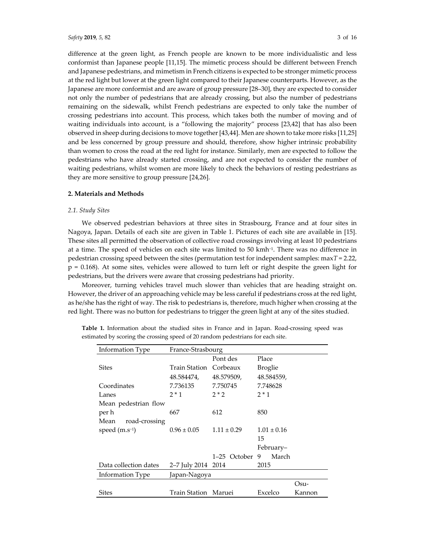difference at the green light, as French people are known to be more individualistic and less conformist than Japanese people [11,15]. The mimetic process should be different between French and Japanese pedestrians, and mimetism in French citizens is expected to be stronger mimetic process at the red light but lower at the green light compared to their Japanese counterparts. However, as the Japanese are more conformist and are aware of group pressure [28–30], they are expected to consider not only the number of pedestrians that are already crossing, but also the number of pedestrians remaining on the sidewalk, whilst French pedestrians are expected to only take the number of crossing pedestrians into account. This process, which takes both the number of moving and of waiting individuals into account, is a "following the majority" process [23,42] that has also been observed in sheep during decisions to move together [43,44]. Men are shown to take more risks [11,25] and be less concerned by group pressure and should, therefore, show higher intrinsic probability than women to cross the road at the red light for instance. Similarly, men are expected to follow the pedestrians who have already started crossing, and are not expected to consider the number of waiting pedestrians, whilst women are more likely to check the behaviors of resting pedestrians as they are more sensitive to group pressure [24,26].

# **2. Materials and Methods**

#### *2.1. Study Sites*

We observed pedestrian behaviors at three sites in Strasbourg, France and at four sites in Nagoya, Japan. Details of each site are given in Table 1. Pictures of each site are available in [15]. These sites all permitted the observation of collective road crossings involving at least 10 pedestrians at a time. The speed of vehicles on each site was limited to 50 kmh−1. There was no difference in pedestrian crossing speed between the sites (permutation test for independent samples: max*T* = 2.22, p = 0.168). At some sites, vehicles were allowed to turn left or right despite the green light for pedestrians, but the drivers were aware that crossing pedestrians had priority.

Moreover, turning vehicles travel much slower than vehicles that are heading straight on. However, the driver of an approaching vehicle may be less careful if pedestrians cross at the red light, as he/she has the right of way. The risk to pedestrians is, therefore, much higher when crossing at the red light. There was no button for pedestrians to trigger the green light at any of the sites studied.

| Information Type      | France-Strasbourg      |                 |                 |        |
|-----------------------|------------------------|-----------------|-----------------|--------|
|                       |                        | Pont des        | Place           |        |
| <b>Sites</b>          | Train Station Corbeaux |                 | <b>Broglie</b>  |        |
|                       | 48.584474,             | 48.579509,      | 48.584559,      |        |
| Coordinates           | 7.736135               | 7.750745        | 7.748628        |        |
| Lanes                 | $2 * 1$                | $2 * 2$         | $2 * 1$         |        |
| Mean pedestrian flow  |                        |                 |                 |        |
| per h                 | 667                    | 612             | 850             |        |
| Mean<br>road-crossing |                        |                 |                 |        |
| speed $(m.s^{-1})$    | $0.96 \pm 0.05$        | $1.11 \pm 0.29$ | $1.01 \pm 0.16$ |        |
|                       |                        |                 | 15              |        |
|                       |                        |                 | February-       |        |
|                       |                        | 1–25 October    | March<br>9      |        |
| Data collection dates | 2–7 July 2014 2014     |                 | 2015            |        |
| Information Type      | Japan-Nagoya           |                 |                 |        |
|                       |                        |                 |                 | Osu-   |
| <b>Sites</b>          | Train Station Maruei   |                 | Excelco         | Kannon |

**Table 1.** Information about the studied sites in France and in Japan. Road-crossing speed was estimated by scoring the crossing speed of 20 random pedestrians for each site.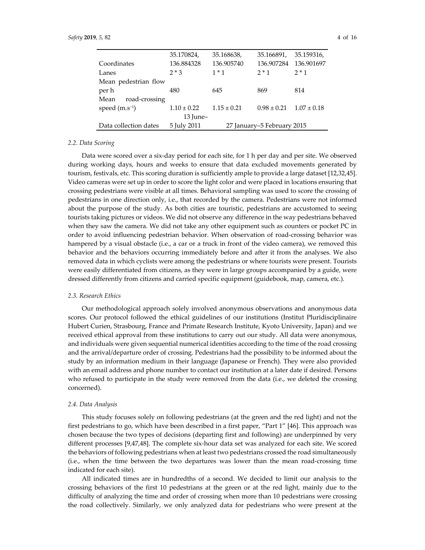|                       | 35.170824,      | 35.168638,                 | 35.166891,      | 35.159316,      |  |
|-----------------------|-----------------|----------------------------|-----------------|-----------------|--|
| Coordinates           | 136.884328      | 136.905740                 | 136.907284      | 136.901697      |  |
| Lanes                 | $2 * 3$         | $1 * 1$                    | $2 * 1$         | $2 * 1$         |  |
| Mean pedestrian flow  |                 |                            |                 |                 |  |
| per h                 | 480             | 645                        | 869             | 814             |  |
| road-crossing<br>Mean |                 |                            |                 |                 |  |
| speed $(m.s^{-1})$    | $1.10 \pm 0.22$ | $1.15 \pm 0.21$            | $0.98 \pm 0.21$ | $1.07 \pm 0.18$ |  |
|                       | 13 June-        |                            |                 |                 |  |
| Data collection dates | 5 July 2011     | 27 January–5 February 2015 |                 |                 |  |

# *2.2. Data Scoring*

Data were scored over a six-day period for each site, for 1 h per day and per site. We observed during working days, hours and weeks to ensure that data excluded movements generated by tourism, festivals, etc. This scoring duration is sufficiently ample to provide a large dataset [12,32,45]. Video cameras were set up in order to score the light color and were placed in locations ensuring that crossing pedestrians were visible at all times. Behavioral sampling was used to score the crossing of pedestrians in one direction only, i.e., that recorded by the camera. Pedestrians were not informed about the purpose of the study. As both cities are touristic, pedestrians are accustomed to seeing tourists taking pictures or videos. We did not observe any difference in the way pedestrians behaved when they saw the camera. We did not take any other equipment such as counters or pocket PC in order to avoid influencing pedestrian behavior. When observation of road-crossing behavior was hampered by a visual obstacle (i.e., a car or a truck in front of the video camera), we removed this behavior and the behaviors occurring immediately before and after it from the analyses. We also removed data in which cyclists were among the pedestrians or where tourists were present. Tourists were easily differentiated from citizens, as they were in large groups accompanied by a guide, were dressed differently from citizens and carried specific equipment (guidebook, map, camera, etc.).

# *2.3. Research Ethics*

Our methodological approach solely involved anonymous observations and anonymous data scores. Our protocol followed the ethical guidelines of our institutions (Institut Pluridisciplinaire Hubert Curien, Strasbourg, France and Primate Research Institute, Kyoto University, Japan) and we received ethical approval from these institutions to carry out our study. All data were anonymous, and individuals were given sequential numerical identities according to the time of the road crossing and the arrival/departure order of crossing. Pedestrians had the possibility to be informed about the study by an information medium in their language (Japanese or French). They were also provided with an email address and phone number to contact our institution at a later date if desired. Persons who refused to participate in the study were removed from the data (i.e., we deleted the crossing concerned).

#### *2.4. Data Analysis*

This study focuses solely on following pedestrians (at the green and the red light) and not the first pedestrians to go, which have been described in a first paper, "Part 1" [46]. This approach was chosen because the two types of decisions (departing first and following) are underpinned by very different processes [9,47,48]. The complete six-hour data set was analyzed for each site. We scored the behaviors of following pedestrians when at least two pedestrians crossed the road simultaneously (i.e., when the time between the two departures was lower than the mean road-crossing time indicated for each site).

All indicated times are in hundredths of a second. We decided to limit our analysis to the crossing behaviors of the first 10 pedestrians at the green or at the red light, mainly due to the difficulty of analyzing the time and order of crossing when more than 10 pedestrians were crossing the road collectively. Similarly, we only analyzed data for pedestrians who were present at the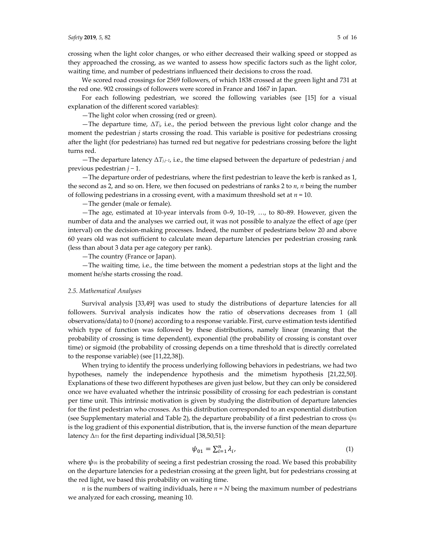crossing when the light color changes, or who either decreased their walking speed or stopped as they approached the crossing, as we wanted to assess how specific factors such as the light color, waiting time, and number of pedestrians influenced their decisions to cross the road.

We scored road crossings for 2569 followers, of which 1838 crossed at the green light and 731 at the red one. 902 crossings of followers were scored in France and 1667 in Japan.

For each following pedestrian, we scored the following variables (see [15] for a visual explanation of the different scored variables):

—The light color when crossing (red or green).

—The departure time,  $\Delta T_i$ , i.e., the period between the previous light color change and the moment the pedestrian *j* starts crossing the road. This variable is positive for pedestrians crossing after the light (for pedestrians) has turned red but negative for pedestrians crossing before the light turns red.

—The departure latency Δ*Tj,j−1*, i.e., the time elapsed between the departure of pedestrian *j* and previous pedestrian *j* − 1.

—The departure order of pedestrians, where the first pedestrian to leave the kerb is ranked as 1, the second as 2, and so on. Here, we then focused on pedestrians of ranks 2 to *n*, *n* being the number of following pedestrians in a crossing event, with a maximum threshold set at *n* = 10.

—The gender (male or female).

—The age, estimated at 10-year intervals from 0–9, 10–19, …, to 80–89. However, given the number of data and the analyses we carried out, it was not possible to analyze the effect of age (per interval) on the decision-making processes. Indeed, the number of pedestrians below 20 and above 60 years old was not sufficient to calculate mean departure latencies per pedestrian crossing rank (less than about 3 data per age category per rank).

—The country (France or Japan).

—The waiting time, i.e., the time between the moment a pedestrian stops at the light and the moment he/she starts crossing the road.

#### *2.5. Mathematical Analyses*

Survival analysis [33,49] was used to study the distributions of departure latencies for all followers. Survival analysis indicates how the ratio of observations decreases from 1 (all observations/data) to 0 (none) according to a response variable. First, curve estimation tests identified which type of function was followed by these distributions, namely linear (meaning that the probability of crossing is time dependent), exponential (the probability of crossing is constant over time) or sigmoid (the probability of crossing depends on a time threshold that is directly correlated to the response variable) (see [11,22,38]).

When trying to identify the process underlying following behaviors in pedestrians, we had two hypotheses, namely the independence hypothesis and the mimetism hypothesis [21,22,50]. Explanations of these two different hypotheses are given just below, but they can only be considered once we have evaluated whether the intrinsic possibility of crossing for each pedestrian is constant per time unit. This intrinsic motivation is given by studying the distribution of departure latencies for the first pedestrian who crosses. As this distribution corresponded to an exponential distribution (see Supplementary material and Table 2), the departure probability of a first pedestrian to cross  $\psi$ <sup>01</sup> is the log gradient of this exponential distribution, that is, the inverse function of the mean departure latency  $\Delta_{\text{TI}}$  for the first departing individual [38,50,51]:

$$
\psi_{01} = \sum_{i=1}^{n} \lambda_i,\tag{1}
$$

where  $\psi_{01}$  is the probability of seeing a first pedestrian crossing the road. We based this probability on the departure latencies for a pedestrian crossing at the green light, but for pedestrians crossing at the red light, we based this probability on waiting time.

*n* is the numbers of waiting individuals, here  $n = N$  being the maximum number of pedestrians we analyzed for each crossing, meaning 10.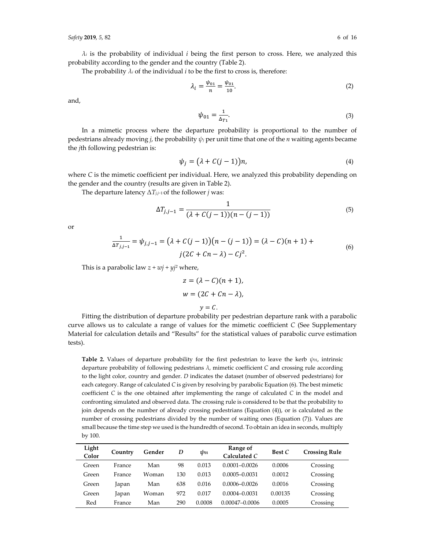# *Safety* **2019**, *5*, 82 6 of 16

*λi* is the probability of individual *i* being the first person to cross. Here, we analyzed this probability according to the gender and the country (Table 2).

The probability  $\lambda_i$  of the individual  $i$  to be the first to cross is, therefore:

$$
\lambda_i = \frac{\psi_{01}}{n} = \frac{\psi_{01}}{10}.\tag{2}
$$

and,

$$
\psi_{01} = \frac{1}{\Delta_{T1}}.\tag{3}
$$

In a mimetic process where the departure probability is proportional to the number of pedestrians already moving *j*, the probability *ψj* per unit time that one of the *n* waiting agents became the *j*th following pedestrian is:

$$
\psi_j = (\lambda + C(j-1))n,\tag{4}
$$

where *C* is the mimetic coefficient per individual. Here, we analyzed this probability depending on the gender and the country (results are given in Table 2).

The departure latency Δ*Tj,j*−1 of the follower *j* was:

$$
\Delta T_{j,j-1} = \frac{1}{(\lambda + C(j-1))(n - (j-1))}
$$
\n(5)

or

$$
\frac{1}{\Delta T_{j,j-1}} = \psi_{j,j-1} = (\lambda + C(j-1))(n - (j-1)) = (\lambda - C)(n+1) + j(2C + Cn - \lambda) - Cj^2.
$$
\n(6)

This is a parabolic law  $z + wj + yj^2$  where,

$$
z = (\lambda - C)(n + 1),
$$
  

$$
w = (2C + Cn - \lambda),
$$
  

$$
y = C.
$$

Fitting the distribution of departure probability per pedestrian departure rank with a parabolic curve allows us to calculate a range of values for the mimetic coefficient *C* (See Supplementary Material for calculation details and "Results" for the statistical values of parabolic curve estimation tests).

**Table 2.** Values of departure probability for the first pedestrian to leave the kerb *ψ*01, intrinsic departure probability of following pedestrians *λ*, mimetic coefficient *C* and crossing rule according to the light color, country and gender. *D* indicates the dataset (number of observed pedestrians) for each category. Range of calculated *C* is given by resolving by parabolic Equation (6). The best mimetic coefficient *C* is the one obtained after implementing the range of calculated *C* in the model and confronting simulated and observed data. The crossing rule is considered to be that the probability to join depends on the number of already crossing pedestrians (Equation (4)), or is calculated as the number of crossing pedestrians divided by the number of waiting ones (Equation (7)). Values are small because the time step we used is the hundredth of second. To obtain an idea in seconds, multiply by 100.

| Light<br>Color | Country | Gender | D   | $\psi_{01}$ | Range of<br>Calculated C | Best C  | <b>Crossing Rule</b> |
|----------------|---------|--------|-----|-------------|--------------------------|---------|----------------------|
| Green          | France  | Man    | 98  | 0.013       | 0.0001-0.0026            | 0.0006  | Crossing             |
| Green          | France  | Woman  | 130 | 0.013       | $0.0005 - 0.0031$        | 0.0012  | Crossing             |
| Green          | Japan   | Man    | 638 | 0.016       | 0.0006-0.0026            | 0.0016  | Crossing             |
| Green          | Japan   | Woman  | 972 | 0.017       | 0.0004-0.0031            | 0.00135 | Crossing             |
| Red            | France  | Man    | 290 | 0.0008      | $0.00047 - 0.0006$       | 0.0005  | Crossing             |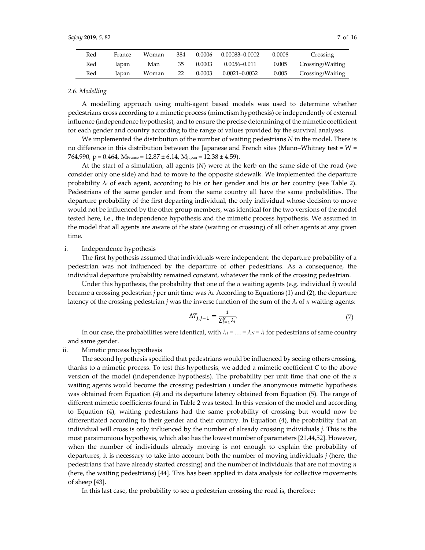| Red | France | Woman | 384 | 0.0006 | 0.00083-0.0002    | 0.0008 | Crossing         |
|-----|--------|-------|-----|--------|-------------------|--------|------------------|
| Red | lapan  | Man   | 35  | 0.0003 | 0.0056-0.011      | 0.005  | Crossing/Waiting |
| Red | Japan  | Woman | 22  | 0.0003 | $0.0021 - 0.0032$ | 0.005  | Crossing/Waiting |

#### *2.6. Modelling*

A modelling approach using multi-agent based models was used to determine whether pedestrians cross according to a mimetic process (mimetism hypothesis) or independently of external influence (independence hypothesis), and to ensure the precise determining of the mimetic coefficient for each gender and country according to the range of values provided by the survival analyses.

We implemented the distribution of the number of waiting pedestrians *N* in the model. There is no difference in this distribution between the Japanese and French sites (Mann–Whitney test =  $W =$ 764,990,  $p = 0.464$ , MFrance = 12.87  $\pm$  6.14, MJapan = 12.38  $\pm$  4.59).

At the start of a simulation, all agents (*N*) were at the kerb on the same side of the road (we consider only one side) and had to move to the opposite sidewalk. We implemented the departure probability λ*i* of each agent, according to his or her gender and his or her country (see Table 2). Pedestrians of the same gender and from the same country all have the same probabilities. The departure probability of the first departing individual, the only individual whose decision to move would not be influenced by the other group members, was identical for the two versions of the model tested here, i.e., the independence hypothesis and the mimetic process hypothesis. We assumed in the model that all agents are aware of the state (waiting or crossing) of all other agents at any given time.

## i. Independence hypothesis

The first hypothesis assumed that individuals were independent: the departure probability of a pedestrian was not influenced by the departure of other pedestrians. As a consequence, the individual departure probability remained constant, whatever the rank of the crossing pedestrian.

Under this hypothesis, the probability that one of the *n* waiting agents (e.g. individual *i*) would became a crossing pedestrian *j* per unit time was λ*i*. According to Equations (1) and (2), the departure latency of the crossing pedestrian *j* was the inverse function of the sum of the  $\lambda_i$  of *n* waiting agents:

$$
\Delta T_{j,j-1} = \frac{1}{\sum_{i=1}^{N} \lambda_i}.\tag{7}
$$

In our case, the probabilities were identical, with  $\lambda_1 = ... = \lambda_N = \lambda$  for pedestrians of same country and same gender.

#### ii. Mimetic process hypothesis

The second hypothesis specified that pedestrians would be influenced by seeing others crossing, thanks to a mimetic process. To test this hypothesis, we added a mimetic coefficient *C* to the above version of the model (independence hypothesis). The probability per unit time that one of the *n* waiting agents would become the crossing pedestrian *j* under the anonymous mimetic hypothesis was obtained from Equation (4) and its departure latency obtained from Equation (5). The range of different mimetic coefficients found in Table 2 was tested. In this version of the model and according to Equation (4), waiting pedestrians had the same probability of crossing but would now be differentiated according to their gender and their country. In Equation (4), the probability that an individual will cross is only influenced by the number of already crossing individuals *j*. This is the most parsimonious hypothesis, which also has the lowest number of parameters [21,44,52]. However, when the number of individuals already moving is not enough to explain the probability of departures, it is necessary to take into account both the number of moving individuals *j* (here, the pedestrians that have already started crossing) and the number of individuals that are not moving *n* (here, the waiting pedestrians) [44]. This has been applied in data analysis for collective movements of sheep [43].

In this last case, the probability to see a pedestrian crossing the road is, therefore: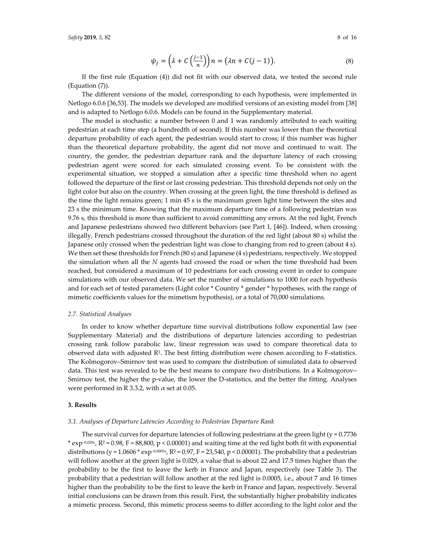$$
\psi_j = \left(\lambda + C\left(\frac{j-1}{n}\right)\right)n = \left(\lambda n + C(j-1)\right).
$$
\n(8)

If the first rule (Equation (4)) did not fit with our observed data, we tested the second rule (Equation (7)).

The different versions of the model, corresponding to each hypothesis, were implemented in Netlogo 6.0.6 [36,53]. The models we developed are modified versions of an existing model from [38] and is adapted to Netlogo 6.0.6. Models can be found in the Supplementary material.

The model is stochastic: a number between 0 and 1 was randomly attributed to each waiting pedestrian at each time step (a hundredth of second). If this number was lower than the theoretical departure probability of each agent, the pedestrian would start to cross; if this number was higher than the theoretical departure probability, the agent did not move and continued to wait. The country, the gender, the pedestrian departure rank and the departure latency of each crossing pedestrian agent were scored for each simulated crossing event. To be consistent with the experimental situation, we stopped a simulation after a specific time threshold when no agent followed the departure of the first or last crossing pedestrian. This threshold depends not only on the light color but also on the country. When crossing at the green light, the time threshold is defined as the time the light remains green; 1 min 45 s is the maximum green light time between the sites and 23 s the minimum time. Knowing that the maximum departure time of a following pedestrian was 9.76 s, this threshold is more than sufficient to avoid committing any errors. At the red light, French and Japanese pedestrians showed two different behaviors (see Part 1, [46]). Indeed, when crossing illegally, French pedestrians crossed throughout the duration of the red light (about 80 s) whilst the Japanese only crossed when the pedestrian light was close to changing from red to green (about 4 s). We then set these thresholds for French (80 s) and Japanese (4 s) pedestrians, respectively. We stopped the simulation when all the *N* agents had crossed the road or when the time threshold had been reached, but considered a maximum of 10 pedestrians for each crossing event in order to compare simulations with our observed data. We set the number of simulations to 1000 for each hypothesis and for each set of tested parameters (Light color \* Country \* gender \* hypotheses, with the range of mimetic coefficients values for the mimetism hypothesis), or a total of 70,000 simulations.

#### *2.7. Statistical Analyses*

In order to know whether departure time survival distributions follow exponential law (see Supplementary Material) and the distributions of departure latencies according to pedestrian crossing rank follow parabolic law, linear regression was used to compare theoretical data to observed data with adjusted  $\mathbb{R}^2$ . The best fitting distribution were chosen according to F-statistics. The Kolmogorov–Smirnov test was used to compare the distribution of simulated data to observed data. This test was revealed to be the best means to compare two distributions. In a Kolmogorov– Smirnov test, the higher the p-value, the lower the D-statistics, and the better the fitting. Analyses were performed in R 3.3.2, with  $\alpha$  set at 0.05.

## **3. Results**

#### *3.1. Analyses of Departure Latencies According to Pedestrian Departure Rank*

The survival curves for departure latencies of following pedestrians at the green light ( $y = 0.7736$ ) \* exp−0.029x, R² = 0.98, F = 88,800, p < 0.00001) and waiting time at the red light both fit with exponential distributions (y = 1.0606 \* exp<sup>-0.0005x</sup>, R<sup>2</sup> = 0.97, F = 23,540, p < 0.00001). The probability that a pedestrian will follow another at the green light is 0.029, a value that is about 22 and 17.5 times higher than the probability to be the first to leave the kerb in France and Japan, respectively (see Table 3). The probability that a pedestrian will follow another at the red light is 0.0005, i.e., about 7 and 16 times higher than the probability to be the first to leave the kerb in France and Japan, respectively. Several initial conclusions can be drawn from this result. First, the substantially higher probability indicates a mimetic process. Second, this mimetic process seems to differ according to the light color and the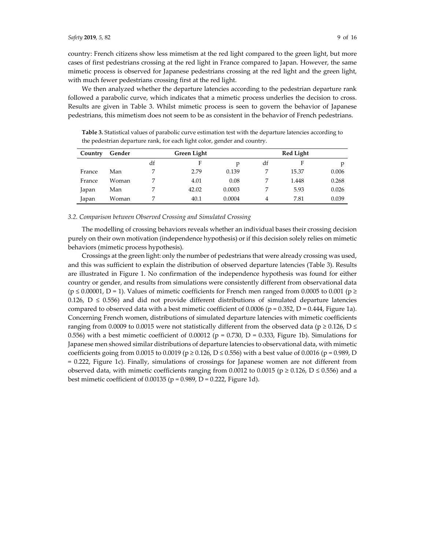country: French citizens show less mimetism at the red light compared to the green light, but more cases of first pedestrians crossing at the red light in France compared to Japan. However, the same mimetic process is observed for Japanese pedestrians crossing at the red light and the green light, with much fewer pedestrians crossing first at the red light.

We then analyzed whether the departure latencies according to the pedestrian departure rank followed a parabolic curve, which indicates that a mimetic process underlies the decision to cross. Results are given in Table 3. Whilst mimetic process is seen to govern the behavior of Japanese pedestrians, this mimetism does not seem to be as consistent in the behavior of French pedestrians.

| Country | Gender | <b>Red Light</b><br>Green Light |       |        |    |       |       |
|---------|--------|---------------------------------|-------|--------|----|-------|-------|
|         |        | df                              | F     |        | df |       |       |
| France  | Man    |                                 | 2.79  | 0.139  |    | 15.37 | 0.006 |
| France  | Woman  |                                 | 4.01  | 0.08   |    | 1.448 | 0.268 |
| Japan   | Man    |                                 | 42.02 | 0.0003 |    | 5.93  | 0.026 |
| Japan   | Woman  |                                 | 40.1  | 0.0004 | 4  | 7.81  | 0.039 |

**Table 3.** Statistical values of parabolic curve estimation test with the departure latencies according to the pedestrian departure rank, for each light color, gender and country.

# *3.2. Comparison between Observed Crossing and Simulated Crossing*

The modelling of crossing behaviors reveals whether an individual bases their crossing decision purely on their own motivation (independence hypothesis) or if this decision solely relies on mimetic behaviors (mimetic process hypothesis).

Crossings at the green light: only the number of pedestrians that were already crossing was used, and this was sufficient to explain the distribution of observed departure latencies (Table 3). Results are illustrated in Figure 1. No confirmation of the independence hypothesis was found for either country or gender, and results from simulations were consistently different from observational data ( $p \le 0.00001$ , D = 1). Values of mimetic coefficients for French men ranged from 0.0005 to 0.001 ( $p \ge$ 0.126,  $D \le 0.556$ ) and did not provide different distributions of simulated departure latencies compared to observed data with a best mimetic coefficient of 0.0006 ( $p = 0.352$ ,  $D = 0.444$ , Figure 1a). Concerning French women, distributions of simulated departure latencies with mimetic coefficients ranging from 0.0009 to 0.0015 were not statistically different from the observed data ( $p \ge 0.126$ , D  $\le$ 0.556) with a best mimetic coefficient of 0.00012 ( $p = 0.730$ ,  $D = 0.333$ , Figure 1b). Simulations for Japanese men showed similar distributions of departure latencies to observational data, with mimetic coefficients going from 0.0015 to 0.0019 ( $p \ge 0.126$ ,  $D \le 0.556$ ) with a best value of 0.0016 ( $p = 0.989$ , D = 0.222, Figure 1c). Finally, simulations of crossings for Japanese women are not different from observed data, with mimetic coefficients ranging from 0.0012 to 0.0015 ( $p \ge 0.126$ ,  $D \le 0.556$ ) and a best mimetic coefficient of  $0.00135$  (p = 0.989, D = 0.222, Figure 1d).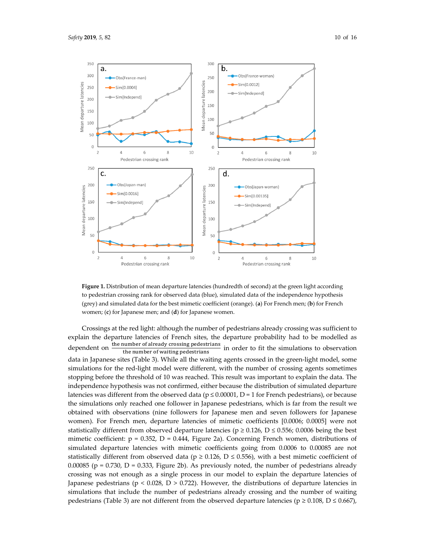

**Figure 1.** Distribution of mean departure latencies (hundredth of second) at the green light according to pedestrian crossing rank for observed data (blue), simulated data of the independence hypothesis (grey) and simulated data for the best mimetic coefficient (orange). (**a**) For French men; (**b**) for French women; (**c**) for Japanese men; and (**d**) for Japanese women.

Crossings at the red light: although the number of pedestrians already crossing was sufficient to explain the departure latencies of French sites, the departure probability had to be modelled as dependent on the number of already crossing pedestrians dependent on the number of waiting pedestrians in order to fit the simulations to observation data in Japanese sites (Table 3). While all the waiting agents crossed in the green-light model, some simulations for the red-light model were different, with the number of crossing agents sometimes stopping before the threshold of 10 was reached. This result was important to explain the data. The independence hypothesis was not confirmed, either because the distribution of simulated departure latencies was different from the observed data ( $p \le 0.00001$ , D = 1 for French pedestrians), or because the simulations only reached one follower in Japanese pedestrians, which is far from the result we obtained with observations (nine followers for Japanese men and seven followers for Japanese women). For French men, departure latencies of mimetic coefficients [0.0006; 0.0005] were not statistically different from observed departure latencies ( $p \ge 0.126$ ,  $D \le 0.556$ ; 0.0006 being the best mimetic coefficient:  $p = 0.352$ ,  $D = 0.444$ , Figure 2a). Concerning French women, distributions of simulated departure latencies with mimetic coefficients going from 0.0006 to 0.00085 are not statistically different from observed data ( $p \ge 0.126$ ,  $D \le 0.556$ ), with a best mimetic coefficient of 0.00085 ( $p = 0.730$ ,  $D = 0.333$ , Figure 2b). As previously noted, the number of pedestrians already crossing was not enough as a single process in our model to explain the departure latencies of Japanese pedestrians ( $p < 0.028$ ,  $D > 0.722$ ). However, the distributions of departure latencies in simulations that include the number of pedestrians already crossing and the number of waiting pedestrians (Table 3) are not different from the observed departure latencies ( $p \ge 0.108$ ,  $D \le 0.667$ ),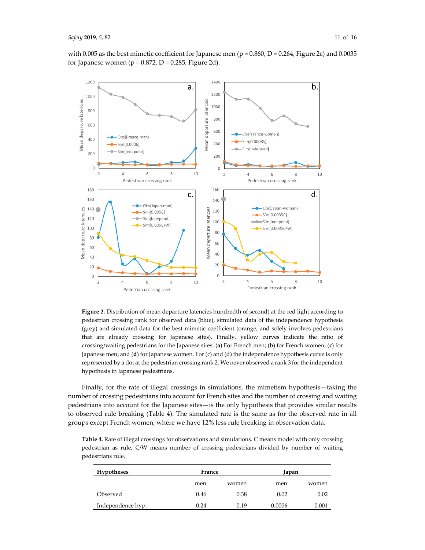

with 0.005 as the best mimetic coefficient for Japanese men ( $p = 0.860$ ,  $D = 0.264$ , Figure 2c) and 0.0035 for Japanese women ( $p = 0.872$ ,  $D = 0.285$ , Figure 2d).

**Figure 2.** Distribution of mean departure latencies hundredth of second) at the red light according to pedestrian crossing rank for observed data (blue), simulated data of the independence hypothesis (grey) and simulated data for the best mimetic coefficient (orange, and solely involves pedestrians that are already crossing for Japanese sites). Finally, yellow curves indicate the ratio of crossing/waiting pedestrians for the Japanese sites. (**a**) For French men; (**b**) for French women; (**c**) for Japanese men; and (**d**) for Japanese women. For (c) and (d) the independence hypothesis curve is only represented by a dot at the pedestrian crossing rank 2. We never observed a rank 3 for the independent hypothesis in Japanese pedestrians.

Finally, for the rate of illegal crossings in simulations, the mimetism hypothesis—taking the number of crossing pedestrians into account for French sites and the number of crossing and waiting pedestrians into account for the Japanese sites—is the only hypothesis that provides similar results to observed rule breaking (Table 4). The simulated rate is the same as for the observed rate in all groups except French women, where we have 12% less rule breaking in observation data.

| <b>Hypotheses</b> | France |       | Japan  |       |
|-------------------|--------|-------|--------|-------|
|                   | men    | women | men    | women |
| Observed          | 0.46   | 0.38  | 0.02   | 0.02  |
| Independence hyp. | 0.24   | 0.19  | 0.0006 | 0.001 |

**Table 4.** Rate of illegal crossings for observations and simulations. C means model with only crossing pedestrian as rule, C/W means number of crossing pedestrians divided by number of waiting pedestrians rule.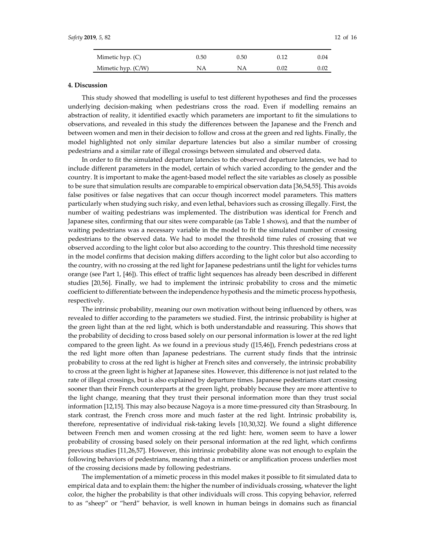| Mimetic hyp. (C)   | 0.50 | 0.50 | 0.12 | 0.04 |
|--------------------|------|------|------|------|
| Mimetic hyp. (C/W) | NA   | ΝA   | 0.02 | 0.02 |

#### **4. Discussion**

This study showed that modelling is useful to test different hypotheses and find the processes underlying decision-making when pedestrians cross the road. Even if modelling remains an abstraction of reality, it identified exactly which parameters are important to fit the simulations to observations, and revealed in this study the differences between the Japanese and the French and between women and men in their decision to follow and cross at the green and red lights. Finally, the model highlighted not only similar departure latencies but also a similar number of crossing pedestrians and a similar rate of illegal crossings between simulated and observed data.

In order to fit the simulated departure latencies to the observed departure latencies, we had to include different parameters in the model, certain of which varied according to the gender and the country. It is important to make the agent-based model reflect the site variables as closely as possible to be sure that simulation results are comparable to empirical observation data [36,54,55]. This avoids false positives or false negatives that can occur though incorrect model parameters. This matters particularly when studying such risky, and even lethal, behaviors such as crossing illegally. First, the number of waiting pedestrians was implemented. The distribution was identical for French and Japanese sites, confirming that our sites were comparable (as Table 1 shows), and that the number of waiting pedestrians was a necessary variable in the model to fit the simulated number of crossing pedestrians to the observed data. We had to model the threshold time rules of crossing that we observed according to the light color but also according to the country. This threshold time necessity in the model confirms that decision making differs according to the light color but also according to the country, with no crossing at the red light for Japanese pedestrians until the light for vehicles turns orange (see Part 1, [46]). This effect of traffic light sequences has already been described in different studies [20,56]. Finally, we had to implement the intrinsic probability to cross and the mimetic coefficient to differentiate between the independence hypothesis and the mimetic process hypothesis, respectively.

The intrinsic probability, meaning our own motivation without being influenced by others, was revealed to differ according to the parameters we studied. First, the intrinsic probability is higher at the green light than at the red light, which is both understandable and reassuring. This shows that the probability of deciding to cross based solely on our personal information is lower at the red light compared to the green light. As we found in a previous study ([15,46]), French pedestrians cross at the red light more often than Japanese pedestrians. The current study finds that the intrinsic probability to cross at the red light is higher at French sites and conversely, the intrinsic probability to cross at the green light is higher at Japanese sites. However, this difference is not just related to the rate of illegal crossings, but is also explained by departure times. Japanese pedestrians start crossing sooner than their French counterparts at the green light, probably because they are more attentive to the light change, meaning that they trust their personal information more than they trust social information [12,15]. This may also because Nagoya is a more time-pressured city than Strasbourg. In stark contrast, the French cross more and much faster at the red light. Intrinsic probability is, therefore, representative of individual risk-taking levels [10,30,32]. We found a slight difference between French men and women crossing at the red light: here, women seem to have a lower probability of crossing based solely on their personal information at the red light, which confirms previous studies [11,26,57]. However, this intrinsic probability alone was not enough to explain the following behaviors of pedestrians, meaning that a mimetic or amplification process underlies most of the crossing decisions made by following pedestrians.

The implementation of a mimetic process in this model makes it possible to fit simulated data to empirical data and to explain them: the higher the number of individuals crossing, whatever the light color, the higher the probability is that other individuals will cross. This copying behavior, referred to as "sheep" or "herd" behavior, is well known in human beings in domains such as financial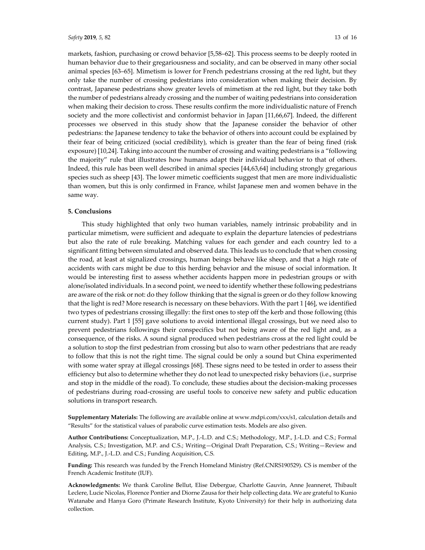markets, fashion, purchasing or crowd behavior [5,58–62]. This process seems to be deeply rooted in human behavior due to their gregariousness and sociality, and can be observed in many other social animal species [63–65]. Mimetism is lower for French pedestrians crossing at the red light, but they only take the number of crossing pedestrians into consideration when making their decision. By contrast, Japanese pedestrians show greater levels of mimetism at the red light, but they take both the number of pedestrians already crossing and the number of waiting pedestrians into consideration when making their decision to cross. These results confirm the more individualistic nature of French society and the more collectivist and conformist behavior in Japan [11,66,67]. Indeed, the different processes we observed in this study show that the Japanese consider the behavior of other pedestrians: the Japanese tendency to take the behavior of others into account could be explained by their fear of being criticized (social credibility), which is greater than the fear of being fined (risk exposure) [10,24]. Taking into account the number of crossing and waiting pedestrians is a "following the majority" rule that illustrates how humans adapt their individual behavior to that of others. Indeed, this rule has been well described in animal species [44,63,64] including strongly gregarious species such as sheep [43]. The lower mimetic coefficients suggest that men are more individualistic than women, but this is only confirmed in France, whilst Japanese men and women behave in the same way.

# **5. Conclusions**

This study highlighted that only two human variables, namely intrinsic probability and in particular mimetism, were sufficient and adequate to explain the departure latencies of pedestrians but also the rate of rule breaking. Matching values for each gender and each country led to a significant fitting between simulated and observed data. This leads us to conclude that when crossing the road, at least at signalized crossings, human beings behave like sheep, and that a high rate of accidents with cars might be due to this herding behavior and the misuse of social information. It would be interesting first to assess whether accidents happen more in pedestrian groups or with alone/isolated individuals. In a second point, we need to identify whether these following pedestrians are aware of the risk or not: do they follow thinking that the signal is green or do they follow knowing that the light is red? More research is necessary on these behaviors. With the part 1 [46], we identified two types of pedestrians crossing illegally: the first ones to step off the kerb and those following (this current study). Part 1 [55] gave solutions to avoid intentional illegal crossings, but we need also to prevent pedestrians followings their conspecifics but not being aware of the red light and, as a consequence, of the risks. A sound signal produced when pedestrians cross at the red light could be a solution to stop the first pedestrian from crossing but also to warn other pedestrians that are ready to follow that this is not the right time. The signal could be only a sound but China experimented with some water spray at illegal crossings [68]. These signs need to be tested in order to assess their efficiency but also to determine whether they do not lead to unexpected risky behaviors (i.e., surprise and stop in the middle of the road). To conclude, these studies about the decision-making processes of pedestrians during road-crossing are useful tools to conceive new safety and public education solutions in transport research.

**Supplementary Materials:** The following are available online at www.mdpi.com/xxx/s1, calculation details and "Results" for the statistical values of parabolic curve estimation tests. Models are also given.

**Author Contributions:** Conceptualization, M.P., J.-L.D. and C.S.; Methodology, M.P., J.-L.D. and C.S.; Formal Analysis, C.S.; Investigation, M.P. and C.S.; Writing—Original Draft Preparation, C.S.; Writing—Review and Editing, M.P., J.-L.D. and C.S.; Funding Acquisition, C.S.

**Funding:** This research was funded by the French Homeland Ministry (Ref.CNRS190529). CS is member of the French Academic Institute (IUF).

**Acknowledgments:** We thank Caroline Bellut, Elise Debergue, Charlotte Gauvin, Anne Jeanneret, Thibault Leclere, Lucie Nicolas, Florence Pontier and Diorne Zausa for their help collecting data. We are grateful to Kunio Watanabe and Hanya Goro (Primate Research Institute, Kyoto University) for their help in authorizing data collection.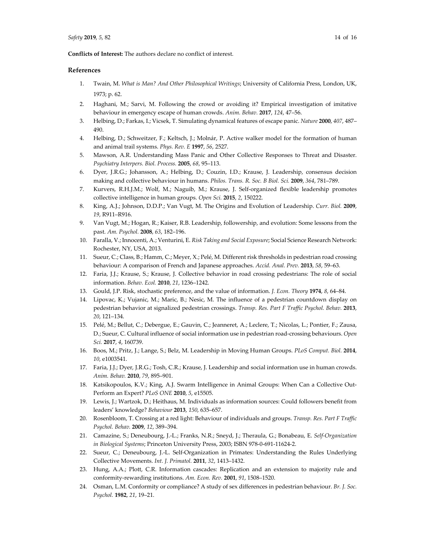**Conflicts of Interest:** The authors declare no conflict of interest.

## **References**

- 1. Twain, M. *What is Man? And Other Philosophical Writings*; University of California Press, London, UK, 1973; p. 62.
- 2. Haghani, M.; Sarvi, M. Following the crowd or avoiding it? Empirical investigation of imitative behaviour in emergency escape of human crowds. *Anim. Behav.* **2017**, *124*, 47–56.
- 3. Helbing, D.; Farkas, I.; Vicsek, T. Simulating dynamical features of escape panic. *Nature* **2000**, *407*, 487– 490.
- 4. Helbing, D.; Schweitzer, F.; Keltsch, J.; Molnár, P. Active walker model for the formation of human and animal trail systems. *Phys. Rev. E* **1997**, *56*, 2527.
- 5. Mawson, A.R. Understanding Mass Panic and Other Collective Responses to Threat and Disaster. *Psychiatry Interpers. Biol. Process.* **2005**, *68*, 95–113.
- 6. Dyer, J.R.G.; Johansson, A.; Helbing, D.; Couzin, I.D.; Krause, J. Leadership, consensus decision making and collective behaviour in humans. *Philos. Trans. R. Soc. B Biol. Sci.* **2009**, *364*, 781–789.
- 7. Kurvers, R.H.J.M.; Wolf, M.; Naguib, M.; Krause, J. Self-organized flexible leadership promotes collective intelligence in human groups. *Open Sci.* **2015**, *2*, 150222.
- 8. King, A.J.; Johnson, D.D.P.; Van Vugt, M. The Origins and Evolution of Leadership. *Curr. Biol.* **2009**, *19*, R911–R916.
- 9. Van Vugt, M.; Hogan, R.; Kaiser, R.B. Leadership, followership, and evolution: Some lessons from the past. *Am. Psychol.* **2008**, *63*, 182–196.
- 10. Faralla, V.; Innocenti, A.; Venturini, E. *Risk Taking and Social Exposure*; Social Science Research Network: Rochester, NY, USA, 2013.
- 11. Sueur, C.; Class, B.; Hamm, C.; Meyer, X.; Pelé, M. Different risk thresholds in pedestrian road crossing behaviour: A comparison of French and Japanese approaches. *Accid. Anal. Prev.* **2013**, *58*, 59–63.
- 12. Faria, J.J.; Krause, S.; Krause, J. Collective behavior in road crossing pedestrians: The role of social information. *Behav. Ecol.* **2010**, *21*, 1236–1242.
- 13. Gould, J.P. Risk, stochastic preference, and the value of information. *J. Econ. Theory* **1974**, *8*, 64–84.
- 14. Lipovac, K.; Vujanic, M.; Maric, B.; Nesic, M. The influence of a pedestrian countdown display on pedestrian behavior at signalized pedestrian crossings. *Transp. Res. Part F Traffic Psychol. Behav.* **2013**, *20*, 121–134.
- 15. Pelé, M.; Bellut, C.; Debergue, E.; Gauvin, C.; Jeanneret, A.; Leclere, T.; Nicolas, L.; Pontier, F.; Zausa, D.; Sueur, C. Cultural influence of social information use in pedestrian road-crossing behaviours. *Open Sci.* **2017**, *4*, 160739.
- 16. Boos, M.; Pritz, J.; Lange, S.; Belz, M. Leadership in Moving Human Groups. *PLoS Comput. Biol.* **2014**, *10*, e1003541.
- 17. Faria, J.J.; Dyer, J.R.G.; Tosh, C.R.; Krause, J. Leadership and social information use in human crowds. *Anim. Behav.* **2010**, *79*, 895–901.
- 18. Katsikopoulos, K.V.; King, A.J. Swarm Intelligence in Animal Groups: When Can a Collective Out-Perform an Expert? *PLoS ONE* **2010**, *5*, e15505.
- 19. Lewis, J.; Wartzok, D.; Heithaus, M. Individuals as information sources: Could followers benefit from leaders' knowledge? *Behaviour* **2013**, *150*, 635–657.
- 20. Rosenbloom, T. Crossing at a red light: Behaviour of individuals and groups. *Transp. Res. Part F Traffic Psychol. Behav.* **2009**, *12*, 389–394.
- 21. Camazine, S.; Deneubourg, J.-L.; Franks, N.R.; Sneyd, J.; Theraula, G.; Bonabeau, E. *Self-Organization in Biological Systems*; Princeton University Press, 2003; ISBN 978-0-691-11624-2.
- 22. Sueur, C.; Deneubourg, J.-L. Self-Organization in Primates: Understanding the Rules Underlying Collective Movements. *Int. J. Primatol.* **2011**, *32*, 1413–1432.
- 23. Hung, A.A.; Plott, C.R. Information cascades: Replication and an extension to majority rule and conformity-rewarding institutions. *Am. Econ. Rev.* **2001**, *91*, 1508–1520.
- 24. Osman, L.M. Conformity or compliance? A study of sex differences in pedestrian behaviour. *Br. J. Soc. Psychol.* **1982**, *21*, 19–21.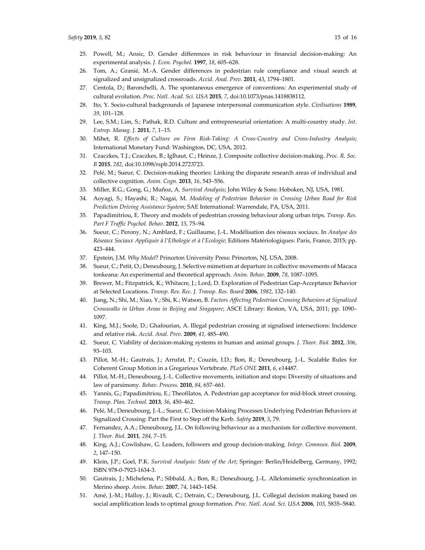- 25. Powell, M.; Ansic, D. Gender differences in risk behaviour in financial decision-making: An experimental analysis. *J. Econ. Psychol.* **1997**, *18*, 605–628.
- 26. Tom, A.; Granié, M.-A. Gender differences in pedestrian rule compliance and visual search at signalized and unsignalized crossroads. *Accid. Anal. Prev.* **2011**, *43*, 1794–1801.
- 27. Centola, D.; Baronchelli, A. The spontaneous emergence of conventions: An experimental study of cultural evolution. *Proc. Natl. Acad. Sci. USA* **2015**, *7*, doi:10.1073/pnas.1418838112.
- 28. Ito, Y. Socio-cultural backgrounds of Japanese interpersonal communication style. *Civilisations* **1989**, *39*, 101–128.
- 29. Lee, S.M.; Lim, S.; Pathak, R.D. Culture and entrepreneurial orientation: A multi-country study. *Int. Entrep. Manag. J.* **2011**, *7*, 1–15.
- 30. Mihet, R. *Effects of Culture on Firm Risk-Taking: A Cross-Country and Cross-Industry Analysis*; International Monetary Fund: Washington, DC, USA, 2012.
- 31. Czaczkes, T.J.; Czaczkes, B.; Iglhaut, C.; Heinze, J. Composite collective decision-making. *Proc. R. Soc. B* **2015**, *282*, doi:10.1098/rspb.2014.2723723.
- 32. Pelé, M.; Sueur, C. Decision-making theories: Linking the disparate research areas of individual and collective cognition. *Anim. Cogn.* **2013**, *16*, 543–556.
- 33. Miller, R.G.; Gong, G.; Muñoz, A. *Survival Analysis*; John Wiley & Sons: Hoboken, NJ, USA, 1981.
- 34. Aoyagi, S.; Hayashi, R.; Nagai, M. *Modeling of Pedestrian Behavior in Crossing Urban Road for Risk Prediction Driving Assistance System*; SAE International: Warrendale, PA, USA, 2011.
- 35. Papadimitriou, E. Theory and models of pedestrian crossing behaviour along urban trips. *Transp. Res. Part F Traffic Psychol. Behav.* **2012**, *15*, 75–94.
- 36. Sueur, C.; Perony, N.; Amblard, F.; Guillaume, J.-L. Modélisation des réseaux sociaux. In *Analyse des Réseaux Sociaux Appliquée à l'Ethologie et à l'Ecologie*; Editions Matériologiques: Paris, France, 2015; pp. 423–444.
- 37. Epstein, J.M. *Why Model*? Princeton University Press: Princeton, NJ, USA, 2008.
- 38. Sueur, C.; Petit, O.; Deneubourg, J. Selective mimetism at departure in collective movements of Macaca tonkeana: An experimental and theoretical approach. *Anim. Behav.* **2009**, *78*, 1087–1095.
- 39. Brewer, M.; Fitzpatrick, K.; Whitacre, J.; Lord, D. Exploration of Pedestrian Gap-Acceptance Behavior at Selected Locations. *Transp. Res. Rec. J. Transp. Res. Board* **2006**, *1982*, 132–140.
- 40. Jiang, N.; Shi, M.; Xiao, Y.; Shi, K.; Watson, B. *Factors Affecting Pedestrian Crossing Behaviors at Signalized Crosswalks in Urban Areas in Beijing and Singapore*; ASCE Library: Reston, VA, USA, 2011; pp. 1090– 1097.
- 41. King, M.J.; Soole, D.; Ghafourian, A. Illegal pedestrian crossing at signalised intersections: Incidence and relative risk. *Accid. Anal. Prev.* **2009**, *41*, 485–490.
- 42. Sueur, C. Viability of decision-making systems in human and animal groups. *J. Theor. Biol.* **2012**, *306*, 93–103.
- 43. Pillot, M.-H.; Gautrais, J.; Arrufat, P.; Couzin, I.D.; Bon, R.; Deneubourg, J.-L. Scalable Rules for Coherent Group Motion in a Gregarious Vertebrate. *PLoS ONE* **2011**, *6*, e14487.
- 44. Pillot, M.-H.; Deneubourg, J.-L. Collective movements, initiation and stops: Diversity of situations and law of parsimony. *Behav. Process.* **2010**, *84*, 657–661.
- 45. Yannis, G.; Papadimitriou, E.; Theofilatos, A. Pedestrian gap acceptance for mid-block street crossing. *Transp. Plan. Technol.* **2013**, *36*, 450–462.
- 46. Pelé, M.; Deneubourg, J.-L.; Sueur, C. Decision-Making Processes Underlying Pedestrian Behaviors at Signalized Crossing: Part the First to Step off the Kerb. *Safety* **2019**, *5*, 79.
- 47. Fernandez, A.A.; Deneubourg, J.L. On following behaviour as a mechanism for collective movement. *J. Theor. Biol.* **2011**, *284*, 7–15.
- 48. King, A.J.; Cowlishaw, G. Leaders, followers and group decision-making. *Integr. Commun. Biol.* **2009**, *2*, 147–150.
- 49. Klein, J.P.; Goel, P.K. *Survival Analysis: State of the Art*; Springer: Berlin/Heidelberg, Germany, 1992; ISBN 978-0-7923-1634-3.
- 50. Gautrais, J.; Michelena, P.; Sibbald, A.; Bon, R.; Deneubourg, J.-L. Allelomimetic synchronization in Merino sheep. *Anim. Behav.* **2007**, *74*, 1443–1454.
- 51. Amé, J.-M.; Halloy, J.; Rivault, C.; Detrain, C.; Deneubourg, J.L. Collegial decision making based on social amplification leads to optimal group formation. *Proc. Natl. Acad. Sci. USA* **2006**, *103*, 5835–5840.